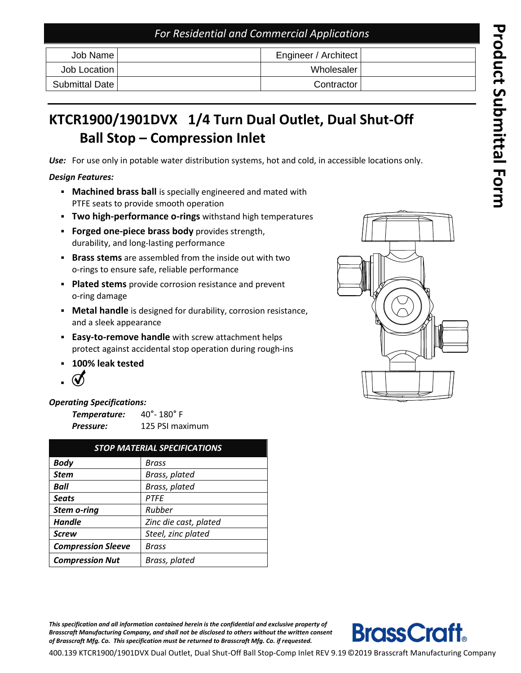### *For Residential and Commercial Applications*

| Job Name       | Engineer / Architect |  |
|----------------|----------------------|--|
| Job Location   | Wholesaler I         |  |
| Submittal Date | Contractor           |  |

# **KT C R 1 9 0 0 /1901DV X 1/4 Turn Dual Outlet , Dual Shut -Off Ball Stop – Compression Inlet**

*Use:* For use only in potable water distribution systems, hot and cold, in accessible locations only.

#### *Design Features:*

- **EXED Machined brass ball** is specially engineered and mated with PTFE seats to provide smooth operation
- **Two high-performance o-rings** withstand high temperatures
- **Forged one -piece brass body** provides strength, durability, and long -lasting performance
- **Brass stems** are assembled from the inside out with two o -rings to ensure safe, reliable performance
- **Plated stems** provide corrosion resistance and prevent o -ring damage
- **Metal handle** is designed for durability, corrosion resistance, and a sleek appearance
- **Easy-to-remove handle** with screw attachment helps protect against accidental stop operation during rough -ins
- **100% leak tested**
- ▪

### *Operating Specifications:*

| Temperature: | $40^{\circ}$ - 180 $^{\circ}$ F |  |  |
|--------------|---------------------------------|--|--|
| Pressure:    | 125 PSI maximum                 |  |  |

| <b>STOP MATERIAL SPECIFICATIONS</b> |                       |  |  |  |
|-------------------------------------|-----------------------|--|--|--|
| <b>Body</b>                         | Brass                 |  |  |  |
| <b>Stem</b>                         | Brass, plated         |  |  |  |
| Ball                                | Brass, plated         |  |  |  |
| <b>Seats</b>                        | <b>PTFE</b>           |  |  |  |
| <b>Stem o-ring</b>                  | Rubber                |  |  |  |
| <b>Handle</b>                       | Zinc die cast, plated |  |  |  |
| <b>Screw</b>                        | Steel, zinc plated    |  |  |  |
| <b>Compression Sleeve</b>           | Brass                 |  |  |  |
| <b>Compression Nut</b>              | Brass, plated         |  |  |  |

*This specification and all information contained herein is the confidential and exclusive property of Brass craft Manufacturing Compan y, and shall not be disclosed to others without the written consent of Brass craft Mfg. Co. This specification must be returned to Brass craft Mfg. Co. if requested.*